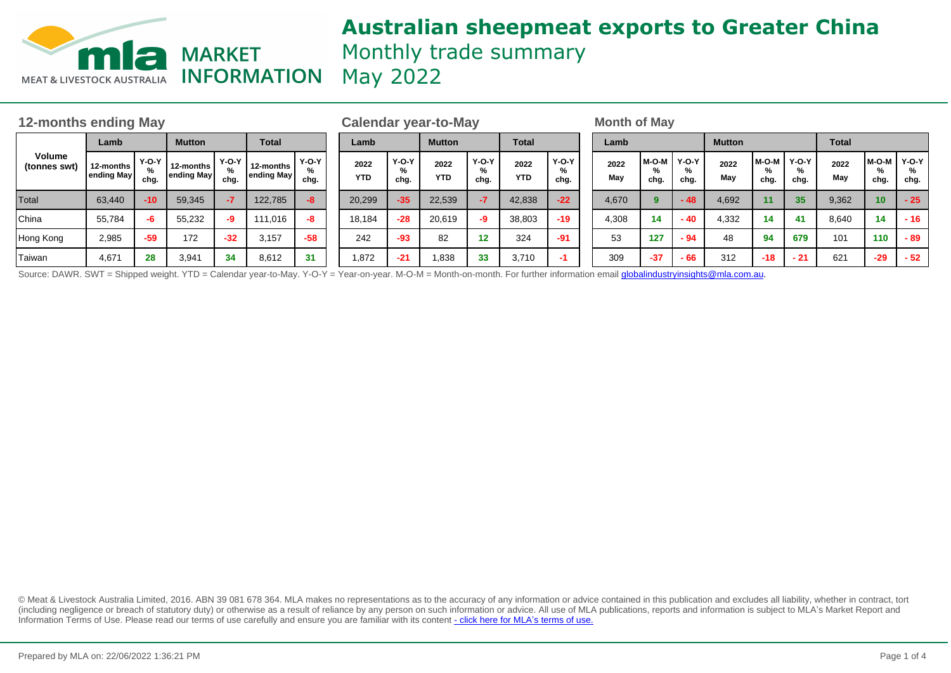

# **Australian sheepmeat exports to Greater China** Monthly trade summary

| 12-months ending May                                                                                                                                                                   |                                 |                 |                         |                 |                         |                      |  | <b>Calendar year-to-May</b> |                 |                    |                      |                    |                 |  | <b>Month of May</b> |                    |                      |               |               |                   |              |                 |                      |  |
|----------------------------------------------------------------------------------------------------------------------------------------------------------------------------------------|---------------------------------|-----------------|-------------------------|-----------------|-------------------------|----------------------|--|-----------------------------|-----------------|--------------------|----------------------|--------------------|-----------------|--|---------------------|--------------------|----------------------|---------------|---------------|-------------------|--------------|-----------------|----------------------|--|
| Volume<br>(tonnes swt)                                                                                                                                                                 | Lamb                            |                 | <b>Mutton</b>           |                 | <b>Total</b>            |                      |  | Lamb                        |                 | <b>Mutton</b>      |                      | <b>Total</b>       |                 |  | Lamb                |                    |                      | <b>Mutton</b> |               |                   | <b>Total</b> |                 |                      |  |
|                                                                                                                                                                                        | 12-months<br><b>'ending May</b> | $Y-O-Y$<br>cha. | 12-months<br>ending May | $Y-O-Y$<br>chg. | 12-months<br>ending May | $Y-O-Y$<br>%<br>chg. |  | 2022<br><b>YTD</b>          | $Y-O-Y$<br>chg. | 2022<br><b>YTD</b> | $Y-O-Y$<br>%<br>chg. | 2022<br><b>YTD</b> | $Y-O-Y$<br>chg. |  | 2022<br>May         | M-O-M<br>%<br>chg. | $Y-O-Y$<br>%<br>chg. | 2022<br>May   | M-O-M<br>chg. | I   Y-O-Y<br>chg. | 2022<br>May  | $M-O-M$<br>chg. | $Y-O-Y$<br>%<br>chg. |  |
| Total                                                                                                                                                                                  | 63.440                          | $-10$           | 59,345                  |                 | 122.785                 | $-8$                 |  | 20,299                      | $-35$           | 22,539             | $-7$                 | 42,838             | $-22$           |  | 4.670               | 9                  | $-48$                | 4,692         |               | 35                | 9,362        | 10 <sup>°</sup> | $-25$                |  |
| China                                                                                                                                                                                  | 55.784                          | -6              | 55.232                  | -9              | 111.016                 | -8                   |  | 18,184                      | $-28$           | 20.619             | -9                   | 38.803             | $-19$           |  | 4,308               | 14                 | $-40$                | 4.332         | 14            | 41                | 8.640        | $-14$           | $-16$                |  |
| Hong Kong                                                                                                                                                                              | 2,985                           | $-59$           | 172                     | $-32$           | 3.157                   | $-58$                |  | 242                         | $-93$           | 82                 | 12                   | 324                | $-91$           |  | 53                  | 127                | $-94$                | 48            | 94            | 679               | 101          | 110             | - 89                 |  |
| Taiwan                                                                                                                                                                                 | 4,671                           | 28              | 3,941                   | 34              | 8,612                   | 31                   |  | 1,872                       | $-21$           | 1,838              | 33                   | 3,710              |                 |  | 309                 | $-37$              | $-66$                | 312           | $-18$         | $-21$             | 621          | $-29$           | $-52$                |  |
| Source: DAWR. SWT = Shipped weight. YTD = Calendar year-to-May. Y-O-Y = Year-on-year. M-O-M = Month-on-month. For further information email <i>globalindustryinsights@mla.com.au</i> . |                                 |                 |                         |                 |                         |                      |  |                             |                 |                    |                      |                    |                 |  |                     |                    |                      |               |               |                   |              |                 |                      |  |

© Meat & Livestock Australia Limited, 2016. ABN 39 081 678 364. MLA makes no representations as to the accuracy of any information or advice contained in this publication and excludes all liability, whether in contract, tort (including negligence or breach of statutory duty) or otherwise as a result of reliance by any person on such information or advice. All use of MLA publications, reports and information is subject to MLA's Market Report an Information Terms of Use. Please read our terms of use carefully and ensure you are familiar with its content [- click here for MLA](http://www.mla.com.au/files/edae0364-a185-4a6f-9dff-a42700d1463a/MLA-Market-Report-and-Information-Terms-of-use-Dec-2014.pdf)'[s terms of use.](http://www.mla.com.au/files/edae0364-a185-4a6f-9dff-a42700d1463a/MLA-Market-Report-and-Information-Terms-of-use-Dec-2014.pdf)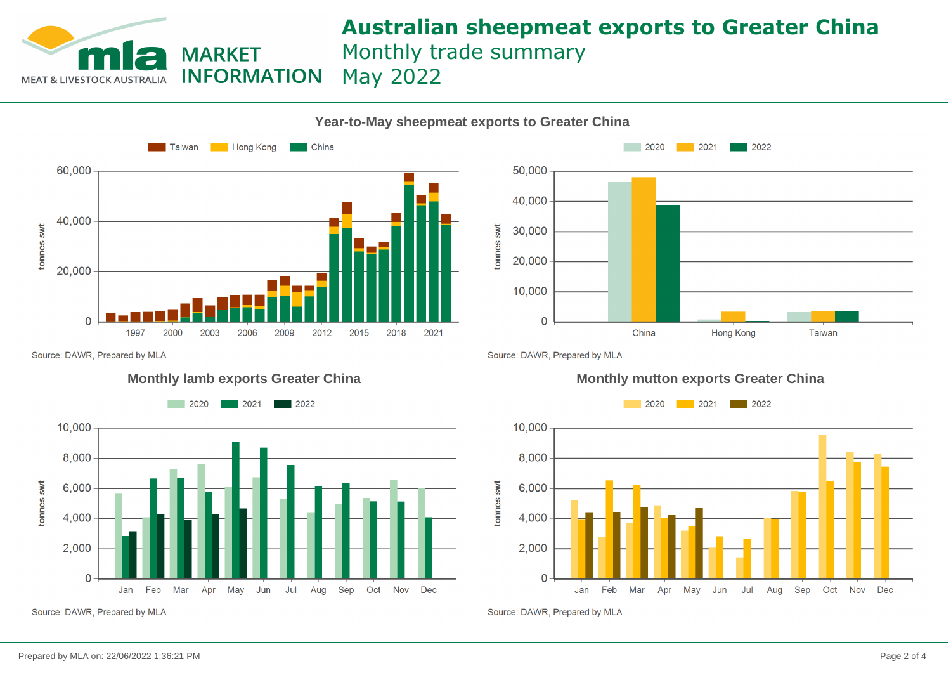

### **Australian sheepmeat exports to Greater China** Monthly trade summary May 2022

 $2020$ 



**Year-to-May sheepmeat exports to Greater China**



 $\blacksquare$  2022

Source: DAWR, Prepared by MLA

tonnes swt





Source: DAWR, Prepared by MLA

#### **Monthly lamb exports Greater China Monthly mutton exports Greater China**



Source: DAWR, Prepared by MLA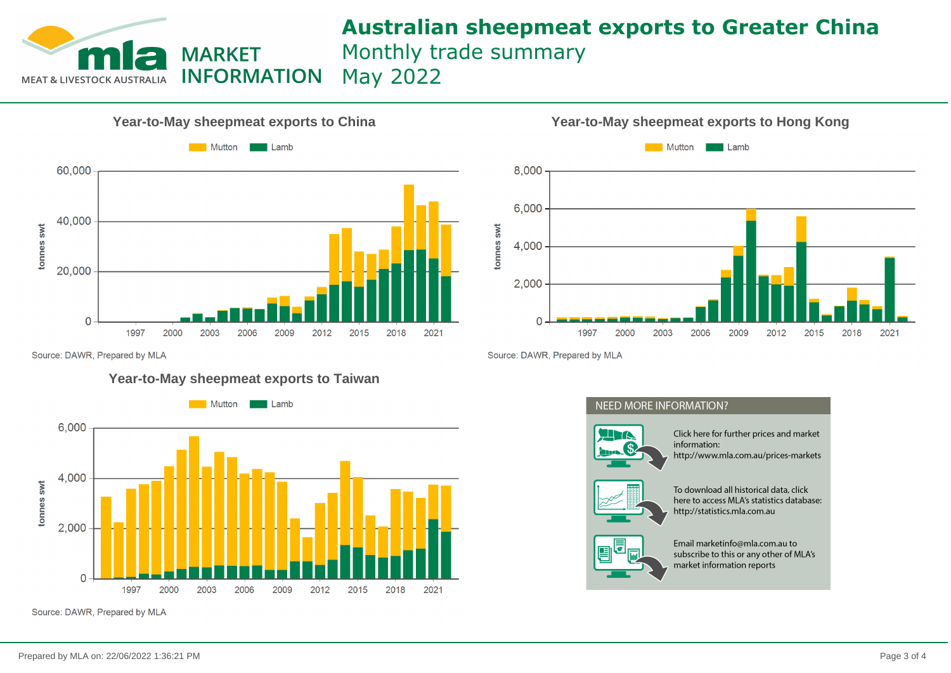

## **Australian sheepmeat exports to Greater China** Monthly trade summary

May 2022





Source: DAWR, Prepared by MLA

#### **Year-to-May sheepmeat exports to Taiwan**



Source: DAWR, Prepared by MLA

Source: DAWR, Prepared by MLA